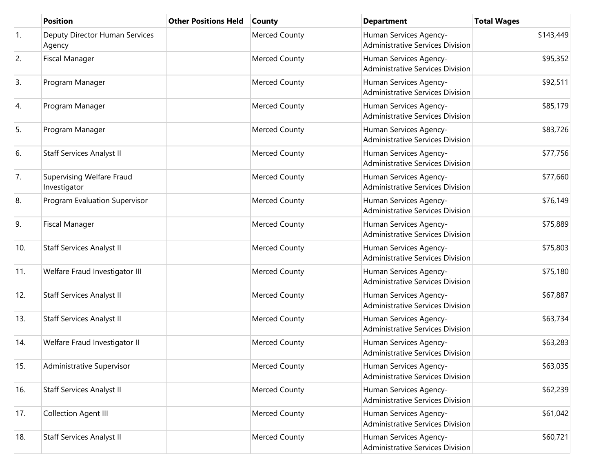|            | <b>Position</b>                                  | <b>Other Positions Held</b> | <b>County</b>        | <b>Department</b>                                                 | <b>Total Wages</b> |
|------------|--------------------------------------------------|-----------------------------|----------------------|-------------------------------------------------------------------|--------------------|
| $\vert$ 1. | Deputy Director Human Services<br>Agency         |                             | <b>Merced County</b> | Human Services Agency-<br>Administrative Services Division        | \$143,449          |
| 2.         | <b>Fiscal Manager</b>                            |                             | Merced County        | Human Services Agency-<br><b>Administrative Services Division</b> | \$95,352           |
| 3.         | Program Manager                                  |                             | Merced County        | Human Services Agency-<br>Administrative Services Division        | \$92,511           |
| 4.         | Program Manager                                  |                             | <b>Merced County</b> | Human Services Agency-<br><b>Administrative Services Division</b> | \$85,179           |
| 5.         | Program Manager                                  |                             | Merced County        | Human Services Agency-<br><b>Administrative Services Division</b> | \$83,726           |
| 6.         | <b>Staff Services Analyst II</b>                 |                             | <b>Merced County</b> | Human Services Agency-<br><b>Administrative Services Division</b> | \$77,756           |
| 7.         | <b>Supervising Welfare Fraud</b><br>Investigator |                             | <b>Merced County</b> | Human Services Agency-<br><b>Administrative Services Division</b> | \$77,660           |
| 8.         | Program Evaluation Supervisor                    |                             | <b>Merced County</b> | Human Services Agency-<br><b>Administrative Services Division</b> | \$76,149           |
| 9.         | <b>Fiscal Manager</b>                            |                             | <b>Merced County</b> | Human Services Agency-<br><b>Administrative Services Division</b> | \$75,889           |
| 10.        | <b>Staff Services Analyst II</b>                 |                             | <b>Merced County</b> | Human Services Agency-<br><b>Administrative Services Division</b> | \$75,803           |
| 11.        | Welfare Fraud Investigator III                   |                             | <b>Merced County</b> | Human Services Agency-<br><b>Administrative Services Division</b> | \$75,180           |
| 12.        | <b>Staff Services Analyst II</b>                 |                             | Merced County        | Human Services Agency-<br><b>Administrative Services Division</b> | \$67,887           |
| 13.        | <b>Staff Services Analyst II</b>                 |                             | <b>Merced County</b> | Human Services Agency-<br><b>Administrative Services Division</b> | \$63,734           |
| 14.        | Welfare Fraud Investigator II                    |                             | Merced County        | Human Services Agency-<br><b>Administrative Services Division</b> | \$63,283           |
| 15.        | Administrative Supervisor                        |                             | <b>Merced County</b> | Human Services Agency-<br>Administrative Services Division        | \$63,035           |
| 16.        | <b>Staff Services Analyst II</b>                 |                             | Merced County        | Human Services Agency-<br><b>Administrative Services Division</b> | \$62,239           |
| 17.        | Collection Agent III                             |                             | Merced County        | Human Services Agency-<br><b>Administrative Services Division</b> | \$61,042           |
| 18.        | <b>Staff Services Analyst II</b>                 |                             | <b>Merced County</b> | Human Services Agency-<br>Administrative Services Division        | \$60,721           |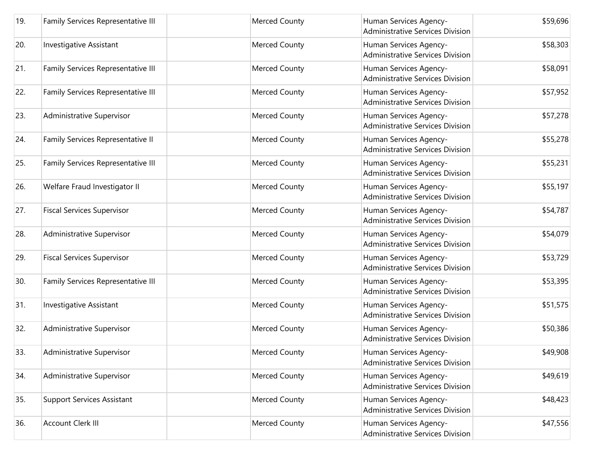| 19. | Family Services Representative III | <b>Merced County</b> | Human Services Agency-<br><b>Administrative Services Division</b> | \$59,696 |
|-----|------------------------------------|----------------------|-------------------------------------------------------------------|----------|
| 20. | <b>Investigative Assistant</b>     | <b>Merced County</b> | Human Services Agency-<br><b>Administrative Services Division</b> | \$58,303 |
| 21. | Family Services Representative III | Merced County        | Human Services Agency-<br>Administrative Services Division        | \$58,091 |
| 22. | Family Services Representative III | <b>Merced County</b> | Human Services Agency-<br><b>Administrative Services Division</b> | \$57,952 |
| 23. | Administrative Supervisor          | Merced County        | Human Services Agency-<br><b>Administrative Services Division</b> | \$57,278 |
| 24. | Family Services Representative II  | <b>Merced County</b> | Human Services Agency-<br><b>Administrative Services Division</b> | \$55,278 |
| 25. | Family Services Representative III | Merced County        | Human Services Agency-<br><b>Administrative Services Division</b> | \$55,231 |
| 26. | Welfare Fraud Investigator II      | <b>Merced County</b> | Human Services Agency-<br>Administrative Services Division        | \$55,197 |
| 27. | <b>Fiscal Services Supervisor</b>  | <b>Merced County</b> | Human Services Agency-<br><b>Administrative Services Division</b> | \$54,787 |
| 28. | Administrative Supervisor          | <b>Merced County</b> | Human Services Agency-<br><b>Administrative Services Division</b> | \$54,079 |
| 29. | <b>Fiscal Services Supervisor</b>  | <b>Merced County</b> | Human Services Agency-<br><b>Administrative Services Division</b> | \$53,729 |
| 30. | Family Services Representative III | Merced County        | Human Services Agency-<br>Administrative Services Division        | \$53,395 |
| 31. | Investigative Assistant            | <b>Merced County</b> | Human Services Agency-<br><b>Administrative Services Division</b> | \$51,575 |
| 32. | Administrative Supervisor          | <b>Merced County</b> | Human Services Agency-<br>Administrative Services Division        | \$50,386 |
| 33. | Administrative Supervisor          | Merced County        | Human Services Agency-<br>Administrative Services Division        | \$49,908 |
| 34. | Administrative Supervisor          | Merced County        | Human Services Agency-<br><b>Administrative Services Division</b> | \$49,619 |
| 35. | <b>Support Services Assistant</b>  | <b>Merced County</b> | Human Services Agency-<br><b>Administrative Services Division</b> | \$48,423 |
| 36. | <b>Account Clerk III</b>           | <b>Merced County</b> | Human Services Agency-<br><b>Administrative Services Division</b> | \$47,556 |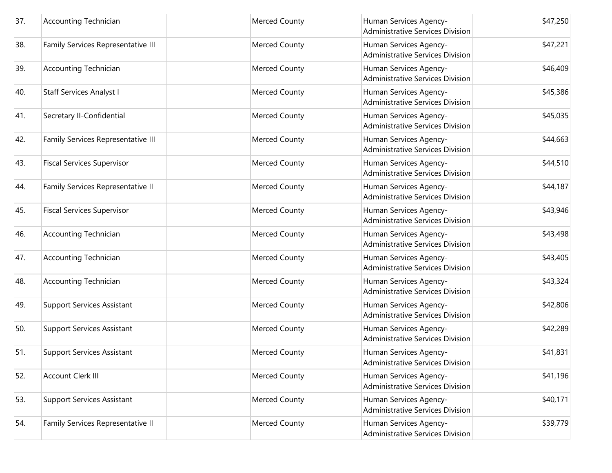| 37. | <b>Accounting Technician</b>       | Merced County        | Human Services Agency-<br><b>Administrative Services Division</b> | \$47,250 |
|-----|------------------------------------|----------------------|-------------------------------------------------------------------|----------|
| 38. | Family Services Representative III | <b>Merced County</b> | Human Services Agency-<br><b>Administrative Services Division</b> | \$47,221 |
| 39. | <b>Accounting Technician</b>       | Merced County        | Human Services Agency-<br>Administrative Services Division        | \$46,409 |
| 40. | <b>Staff Services Analyst I</b>    | <b>Merced County</b> | Human Services Agency-<br><b>Administrative Services Division</b> | \$45,386 |
| 41. | Secretary II-Confidential          | Merced County        | Human Services Agency-<br><b>Administrative Services Division</b> | \$45,035 |
| 42. | Family Services Representative III | <b>Merced County</b> | Human Services Agency-<br><b>Administrative Services Division</b> | \$44,663 |
| 43. | <b>Fiscal Services Supervisor</b>  | Merced County        | Human Services Agency-<br><b>Administrative Services Division</b> | \$44,510 |
| 44. | Family Services Representative II  | <b>Merced County</b> | Human Services Agency-<br><b>Administrative Services Division</b> | \$44,187 |
| 45. | <b>Fiscal Services Supervisor</b>  | <b>Merced County</b> | Human Services Agency-<br><b>Administrative Services Division</b> | \$43,946 |
| 46. | <b>Accounting Technician</b>       | <b>Merced County</b> | Human Services Agency-<br><b>Administrative Services Division</b> | \$43,498 |
| 47. | <b>Accounting Technician</b>       | <b>Merced County</b> | Human Services Agency-<br><b>Administrative Services Division</b> | \$43,405 |
| 48. | <b>Accounting Technician</b>       | Merced County        | Human Services Agency-<br><b>Administrative Services Division</b> | \$43,324 |
| 49. | <b>Support Services Assistant</b>  | <b>Merced County</b> | Human Services Agency-<br>Administrative Services Division        | \$42,806 |
| 50. | <b>Support Services Assistant</b>  | <b>Merced County</b> | Human Services Agency-<br>Administrative Services Division        | \$42,289 |
| 51. | <b>Support Services Assistant</b>  | Merced County        | Human Services Agency-<br>Administrative Services Division        | \$41,831 |
| 52. | <b>Account Clerk III</b>           | Merced County        | Human Services Agency-<br><b>Administrative Services Division</b> | \$41,196 |
| 53. | <b>Support Services Assistant</b>  | Merced County        | Human Services Agency-<br><b>Administrative Services Division</b> | \$40,171 |
| 54. | Family Services Representative II  | Merced County        | Human Services Agency-<br><b>Administrative Services Division</b> | \$39,779 |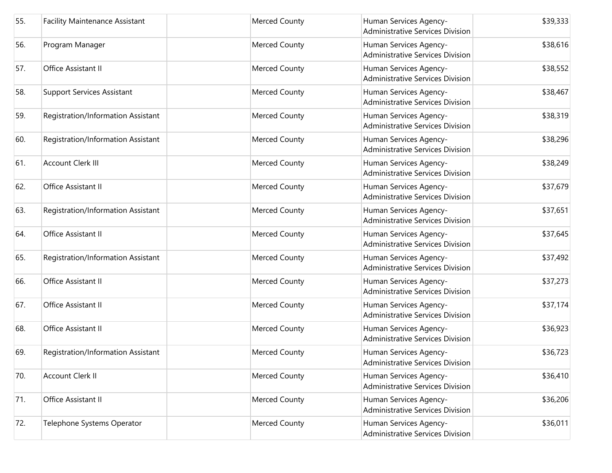| 55. | <b>Facility Maintenance Assistant</b> | Merced County        | Human Services Agency-<br><b>Administrative Services Division</b> | \$39,333 |
|-----|---------------------------------------|----------------------|-------------------------------------------------------------------|----------|
| 56. | Program Manager                       | Merced County        | Human Services Agency-<br>Administrative Services Division        | \$38,616 |
| 57. | Office Assistant II                   | Merced County        | Human Services Agency-<br><b>Administrative Services Division</b> | \$38,552 |
| 58. | <b>Support Services Assistant</b>     | <b>Merced County</b> | Human Services Agency-<br><b>Administrative Services Division</b> | \$38,467 |
| 59. | Registration/Information Assistant    | <b>Merced County</b> | Human Services Agency-<br><b>Administrative Services Division</b> | \$38,319 |
| 60. | Registration/Information Assistant    | <b>Merced County</b> | Human Services Agency-<br><b>Administrative Services Division</b> | \$38,296 |
| 61. | <b>Account Clerk III</b>              | <b>Merced County</b> | Human Services Agency-<br><b>Administrative Services Division</b> | \$38,249 |
| 62. | Office Assistant II                   | Merced County        | Human Services Agency-<br><b>Administrative Services Division</b> | \$37,679 |
| 63. | Registration/Information Assistant    | <b>Merced County</b> | Human Services Agency-<br><b>Administrative Services Division</b> | \$37,651 |
| 64. | Office Assistant II                   | Merced County        | Human Services Agency-<br><b>Administrative Services Division</b> | \$37,645 |
| 65. | Registration/Information Assistant    | <b>Merced County</b> | Human Services Agency-<br>Administrative Services Division        | \$37,492 |
| 66. | Office Assistant II                   | <b>Merced County</b> | Human Services Agency-<br><b>Administrative Services Division</b> | \$37,273 |
| 67. | Office Assistant II                   | <b>Merced County</b> | Human Services Agency-<br><b>Administrative Services Division</b> | \$37,174 |
| 68. | Office Assistant II                   | <b>Merced County</b> | Human Services Agency-<br><b>Administrative Services Division</b> | \$36,923 |
| 69. | Registration/Information Assistant    | Merced County        | Human Services Agency-<br>Administrative Services Division        | \$36,723 |
| 70. | <b>Account Clerk II</b>               | Merced County        | Human Services Agency-<br><b>Administrative Services Division</b> | \$36,410 |
| 71. | Office Assistant II                   | Merced County        | Human Services Agency-<br><b>Administrative Services Division</b> | \$36,206 |
| 72. | Telephone Systems Operator            | Merced County        | Human Services Agency-<br><b>Administrative Services Division</b> | \$36,011 |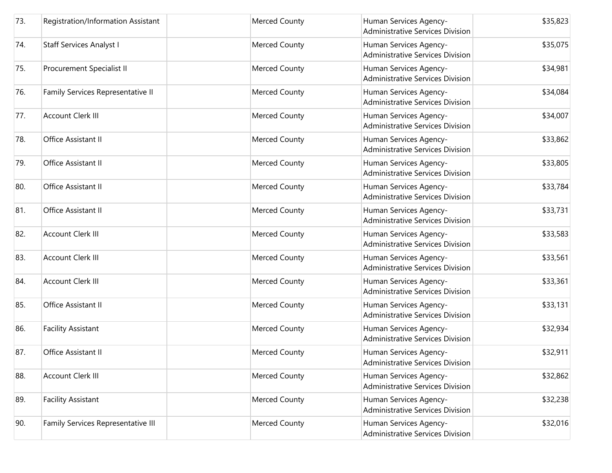| 73. | Registration/Information Assistant | <b>Merced County</b> | Human Services Agency-<br><b>Administrative Services Division</b> | \$35,823 |
|-----|------------------------------------|----------------------|-------------------------------------------------------------------|----------|
| 74. | <b>Staff Services Analyst I</b>    | Merced County        | Human Services Agency-<br>Administrative Services Division        | \$35,075 |
| 75. | Procurement Specialist II          | Merced County        | Human Services Agency-<br><b>Administrative Services Division</b> | \$34,981 |
| 76. | Family Services Representative II  | <b>Merced County</b> | Human Services Agency-<br>Administrative Services Division        | \$34,084 |
| 77. | <b>Account Clerk III</b>           | <b>Merced County</b> | Human Services Agency-<br><b>Administrative Services Division</b> | \$34,007 |
| 78. | Office Assistant II                | <b>Merced County</b> | Human Services Agency-<br><b>Administrative Services Division</b> | \$33,862 |
| 79. | Office Assistant II                | <b>Merced County</b> | Human Services Agency-<br><b>Administrative Services Division</b> | \$33,805 |
| 80. | Office Assistant II                | Merced County        | Human Services Agency-<br>Administrative Services Division        | \$33,784 |
| 81. | Office Assistant II                | <b>Merced County</b> | Human Services Agency-<br><b>Administrative Services Division</b> | \$33,731 |
| 82. | <b>Account Clerk III</b>           | Merced County        | Human Services Agency-<br><b>Administrative Services Division</b> | \$33,583 |
| 83. | <b>Account Clerk III</b>           | <b>Merced County</b> | Human Services Agency-<br>Administrative Services Division        | \$33,561 |
| 84. | <b>Account Clerk III</b>           | <b>Merced County</b> | Human Services Agency-<br><b>Administrative Services Division</b> | \$33,361 |
| 85. | Office Assistant II                | <b>Merced County</b> | Human Services Agency-<br><b>Administrative Services Division</b> | \$33,131 |
| 86. | <b>Facility Assistant</b>          | <b>Merced County</b> | Human Services Agency-<br>Administrative Services Division        | \$32,934 |
| 87. | Office Assistant II                | Merced County        | Human Services Agency-<br>Administrative Services Division        | \$32,911 |
| 88. | <b>Account Clerk III</b>           | Merced County        | Human Services Agency-<br><b>Administrative Services Division</b> | \$32,862 |
| 89. | <b>Facility Assistant</b>          | Merced County        | Human Services Agency-<br><b>Administrative Services Division</b> | \$32,238 |
| 90. | Family Services Representative III | Merced County        | Human Services Agency-<br><b>Administrative Services Division</b> | \$32,016 |